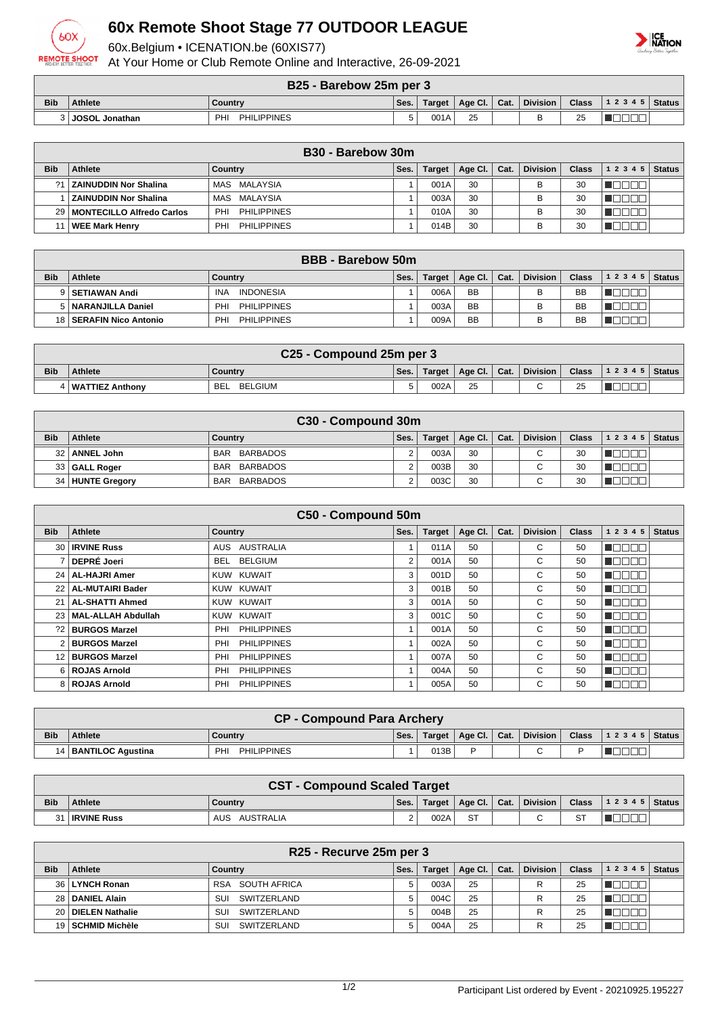

## **60x Remote Shoot Stage 77 OUTDOOR LEAGUE**

60x.Belgium • ICENATION.be (60XIS77)

At Your Home or Club Remote Online and Interactive, 26-09-2021



| B25 - Barebow 25m per 3 |  |  |
|-------------------------|--|--|
|                         |  |  |

| <b>PLUSHEDOW LUILDEL J</b> |                  |                           |      |               |         |      |                 |              |           |        |
|----------------------------|------------------|---------------------------|------|---------------|---------|------|-----------------|--------------|-----------|--------|
| <b>Bib</b>                 | Athlete          | Country                   | Ses. | <b>Target</b> | Age Cl. | Cat. | <b>Division</b> | <b>Class</b> | 1 2 3 4 5 | Status |
|                            | . JOSOL Jonathan | <b>PHILIPPINES</b><br>PHI |      | 001           | 25      |      |                 | つに<br>້      |           |        |

|            | B <sub>30</sub> - Barebow 30m  |                           |      |               |         |      |                 |              |           |               |
|------------|--------------------------------|---------------------------|------|---------------|---------|------|-----------------|--------------|-----------|---------------|
| <b>Bib</b> | <b>Athlete</b>                 | Country                   | Ses. | <b>Target</b> | Age Cl. | Cat. | <b>Division</b> | <b>Class</b> | 1 2 3 4 5 | <b>Status</b> |
| 21         | ∣ I ZAINUDDIN Nor Shalina      | MAS MALAYSIA              |      | 001A          | 30      |      |                 | 30           |           |               |
|            | <b>ZAINUDDIN Nor Shalina</b>   | MAS MALAYSIA              |      | 003A          | 30      |      |                 | 30           |           |               |
|            | 29   MONTECILLO Alfredo Carlos | PHILIPPINES<br>PHI        |      | 010A          | 30      |      |                 | 30           |           |               |
|            | <b>WEE Mark Henry</b>          | <b>PHILIPPINES</b><br>PHI |      | 014B          | 30      |      |                 | 30           |           |               |

| <b>BBB</b> - Barebow 50m |                           |                                |      |        |                      |  |                 |              |                  |  |
|--------------------------|---------------------------|--------------------------------|------|--------|----------------------|--|-----------------|--------------|------------------|--|
| <b>Bib</b>               | Athlete                   | Countrv                        | Ses. | Target | Age Cl. $\vert$ Cat. |  | <b>Division</b> | <b>Class</b> | $ 12345 $ Status |  |
|                          | 9   SETIAWAN Andi         | <b>INA</b><br><b>INDONESIA</b> |      | 006A   | <b>BB</b>            |  |                 | BB           |                  |  |
|                          | 5   NARANJILLA Daniel     | <b>PHILIPPINES</b><br>PHI      |      | 003A   | <b>BB</b>            |  |                 | BB           |                  |  |
|                          | 18   SERAFIN Nico Antonio | <b>PHILIPPINES</b><br>PHI      |      | 009A   | <b>BB</b>            |  |                 | BB           |                  |  |

| C25 - Compound 25m per 3 |                     |                       |      |      |                         |  |        |    |                                       |  |
|--------------------------|---------------------|-----------------------|------|------|-------------------------|--|--------|----|---------------------------------------|--|
| <b>Bib</b>               | <b>Athlete</b>      | Country               | Ses. |      | Target   Age Cl.   Cat. |  |        |    | Division   Class   1 2 3 4 5   Status |  |
|                          | 1   WATTIEZ Anthonv | BELGIUM<br><b>BEL</b> |      | 002A | 25                      |  | $\sim$ | 25 |                                       |  |

| C30 - Compound 30m |                  |                        |      |        |                |  |                          |              |                |  |
|--------------------|------------------|------------------------|------|--------|----------------|--|--------------------------|--------------|----------------|--|
| <b>Bib</b>         | <b>Athlete</b>   | Country                | Ses. | Target | Age Cl.   Cat. |  | <b>Division</b>          | <b>Class</b> | $12345$ Status |  |
|                    | 32   ANNEL John  | BARBADOS<br><b>BAR</b> |      | 003A   | 30             |  | ⌒                        | 30           |                |  |
|                    | 33 GALL Roger    | BARBADOS<br><b>BAR</b> |      | 003B   | 30             |  | $\overline{\phantom{0}}$ | 30           |                |  |
|                    | 34 HUNTE Gregory | BARBADOS<br><b>BAR</b> |      | 003C   | 30             |  | $\overline{\phantom{0}}$ | 30           |                |  |

| C50 - Compound 50m |                         |                           |      |               |         |      |                 |              |           |               |
|--------------------|-------------------------|---------------------------|------|---------------|---------|------|-----------------|--------------|-----------|---------------|
| <b>Bib</b>         | <b>Athlete</b>          | <b>Country</b>            | Ses. | <b>Target</b> | Age Cl. | Cat. | <b>Division</b> | <b>Class</b> | 1 2 3 4 5 | <b>Status</b> |
| 30                 | <b>IRVINE Russ</b>      | <b>AUSTRALIA</b><br>AUS   |      | 011A          | 50      |      | С               | 50           | A E L     |               |
|                    | <b>DEPRÉ Joeri</b>      | <b>BELGIUM</b><br>BEL     | 2    | 001A          | 50      |      | С               | 50           |           |               |
|                    | 24   AL-HAJRI Amer      | KUW KUWAIT                | 3    | 001D          | 50      |      | C               | 50           |           |               |
| 221                | <b>AL-MUTAIRI Bader</b> | KUW KUWAIT                | 3    | 001B          | 50      |      | C               | 50           |           |               |
| 21                 | <b>AL-SHATTI Ahmed</b>  | KUW KUWAIT                | 3    | 001A          | 50      |      | С               | 50           |           |               |
|                    | 23   MAL-ALLAH Abdullah | KUW KUWAIT                | 3    | 001C          | 50      |      | C               | 50           | – II      |               |
| 221                | <b>BURGOS Marzel</b>    | <b>PHILIPPINES</b><br>PHI |      | 001A          | 50      |      | C               | 50           |           |               |
|                    | <b>BURGOS Marzel</b>    | <b>PHILIPPINES</b><br>PHI |      | 002A          | 50      |      | С               | 50           | - 11      |               |
|                    | 12 BURGOS Marzel        | <b>PHILIPPINES</b><br>PHI |      | 007A          | 50      |      | C               | 50           | A ELI     |               |
|                    | 6 ROJAS Arnold          | <b>PHILIPPINES</b><br>PHI |      | 004A          | 50      |      | C.              | 50           | - II      |               |
|                    | 8 ROJAS Arnold          | <b>PHILIPPINES</b><br>PHI |      | 005A          | 50      |      | C               | 50           |           |               |

|            | <b>CP - Compound Para Archery</b> |                          |      |      |                         |  |          |  |  |  |  |
|------------|-----------------------------------|--------------------------|------|------|-------------------------|--|----------|--|--|--|--|
| <b>Bib</b> | <b>Athlete</b>                    | Country                  | Ses. |      | Target   Age Cl.   Cat. |  | Division |  |  |  |  |
|            | 14   BANTILOC Agustina            | PH<br><b>PHILIPPINES</b> |      | 013B |                         |  |          |  |  |  |  |

| <b>CST - Compound Scaled Target</b> |                    |                  |        |        |                            |  |          |           |                                |  |
|-------------------------------------|--------------------|------------------|--------|--------|----------------------------|--|----------|-----------|--------------------------------|--|
| <b>Bib</b>                          | <b>Athlete</b>     | Country          | Ses.   | Target | $\mid$ Age Cl. $\mid$ Cat. |  | Division |           | Class $\vert$ 1 2 3 4 5 Status |  |
|                                     | <b>IRVINE Russ</b> | AUSTRALIA<br>AUS | ົ<br>۷ | 002A   | <b>ST</b>                  |  |          | <b>ST</b> |                                |  |

| R25 - Recurve 25m per 3 |                    |                            |      |        |         |      |                 |              |       |        |
|-------------------------|--------------------|----------------------------|------|--------|---------|------|-----------------|--------------|-------|--------|
| <b>Bib</b>              | <b>Athlete</b>     | Country                    | Ses. | Target | Age Cl. | Cat. | <b>Division</b> | <b>Class</b> | 12345 | Status |
|                         | 36 LYNCH Ronan     | SOUTH AFRICA<br><b>RSA</b> |      | 003A   | 25      |      | R               | 25           |       |        |
|                         | 28   DANIEL Alain  | SUI<br>SWITZERLAND         | 5    | 004C   | 25      |      | R               | 25           |       |        |
|                         | 20 DIELEN Nathalie | SUI<br>SWITZERLAND         |      | 004B   | 25      |      | R               | 25           |       |        |
|                         | 19 SCHMID Michèle  | SUI<br>SWITZERLAND         |      | 004A   | 25      |      | R               | 25           |       |        |